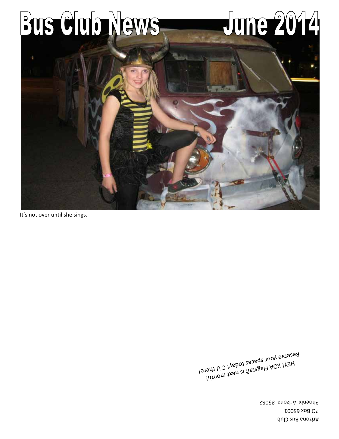Arizona Bus Club PO Box 65001 Phoenix Arizona 85082

, the x is the staff is next month! Keserve your spaces toqayi C N therei<br>HEY! KOA Flagstaff is next monthletei  $R_{\text{e} \text{a} \text{b} \text{d} \text{c}}$  and  $R_{\text{u} \text{b} \text{d} \text{c}}$ 

It's not over until she sings.

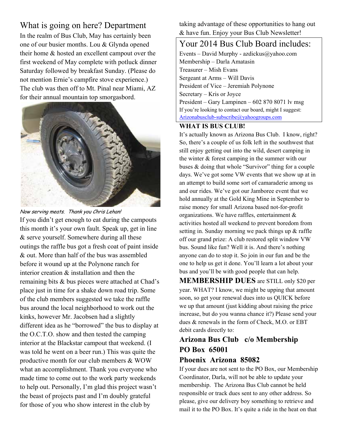### What is going on here? Department

In the realm of Bus Club, May has certainly been one of our busier months. Lou & Glynda opened their home & hosted an excellent campout over the first weekend of May complete with potluck dinner Saturday followed by breakfast Sunday. (Please do not mention Ernie's campfire stove experience.) The club was then off to Mt. Pinal near Miami, AZ for their annual mountain top smorgasbord.



Now serving meats. Thank you Chris Lehan! If you didn't get enough to eat during the campouts this month it's your own fault. Speak up, get in line & serve yourself. Somewhere during all these outings the raffle bus got a fresh coat of paint inside & out. More than half of the bus was assembled before it wound up at the Polynone ranch for interior creation & installation and then the remaining bits & bus pieces were attached at Chad's place just in time for a shake down road trip. Some of the club members suggested we take the raffle bus around the local neighborhood to work out the kinks, however Mr. Jacobsen had a slightly different idea as he "borrowed" the bus to display at the O.C.T.O. show and then tested the camping interior at the Blackstar campout that weekend. (I was told he went on a beer run.) This was quite the productive month for our club members & WOW what an accomplishment. Thank you everyone who made time to come out to the work party weekends to help out. Personally, I'm glad this project wasn't the beast of projects past and I'm doubly grateful for those of you who show interest in the club by

taking advantage of these opportunities to hang out & have fun. Enjoy your Bus Club Newsletter!

#### Your 2014 Bus Club Board includes:

Events – David Murphy - azdickus@yahoo.com Membership – Darla Amatasin Treasurer – Mish Evans Sergeant at Arms – Will Davis President of Vice – Jeremiah Polynone Secretary – Kris or Joyce President – Gary Lampinen – 602 870 8071 lv msg If you're looking to contact our board, might I suggest: Arizonabusclub-subscribe@yahoogroups.com

#### **WHAT IS BUS CLUB!**

It's actually known as Arizona Bus Club. I know, right? So, there's a couple of us folk left in the southwest that still enjoy getting out into the wild, desert camping in the winter  $\&$  forest camping in the summer with our buses  $\&$  doing that whole "Survivor" thing for a couple days. We've got some VW events that we show up at in an attempt to build some sort of camaraderie among us and our rides. We've got our Jamboree event that we hold annually at the Gold King Mine in September to raise money for small Arizona based not-for-profit organizations. We have raffles, entertainment & activities hosted all weekend to prevent boredom from setting in. Sunday morning we pack things up & raffle off our grand prize: A club restored split window VW bus. Sound like fun? Well it is. And there's nothing anyone can do to stop it. So join in our fun and be the one to help us get it done. You'll learn a lot about your bus and you'll be with good people that can help.

**MEMBERSHIP DUES** are STILL only \$20 per year. WHAT? I know, we might be upping that amount soon, so get your renewal dues into us QUICK before we up that amount (just kidding about raising the price increase, but do you wanna chance it?) Please send your dues & renewals in the form of Check, M.O. or EBT debit cards directly to:

### **Arizona Bus Club c/o Membership PO Box 65001**

#### **Phoenix Arizona 85082**

If your dues are not sent to the PO Box, our Membership Coordinator, Darla, will not be able to update your membership. The Arizona Bus Club cannot be held responsible or track dues sent to any other address. So please, give our delivery boy something to retrieve and mail it to the PO Box. It's quite a ride in the heat on that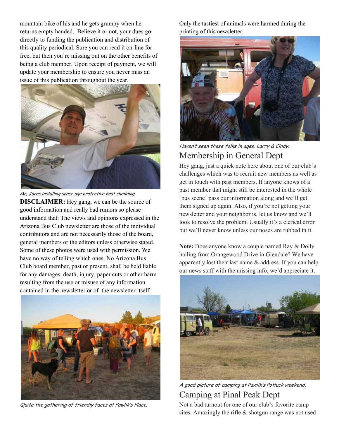mountain bike of his and he gets grumpy when he returns empty handed. Believe it or not, your dues go directly to funding the publication and distribution of this quality periodical. Sure you can read it on-line for free, but then you're missing out on the other benefits of being a club member. Upon receipt of payment, we will update your membership to ensure you never miss an issue of this publication throughout the year.



Mr, Jonas installing space age protective heat sheilding. **DISCLAIMER:** Hey gang, we can be the source of good information and really bad rumors so please understand that: The views and opinions expressed in the Arizona Bus Club newsletter are those of the individual contributors and are not necessarily those of the board, general members or the editors unless otherwise stated. Some of these photos were used with permission. We have no way of telling which ones. No Arizona Bus Club board member, past or present, shall be held liable for any damages, death, injury, paper cuts or other harm resulting from the use or misuse of any information contained in the newsletter or of the newsletter itself.



Quite the gathering of friendly faces at Pawlik's Place.

Only the tastiest of animals were harmed during the printing of this newsletter.



Haven't seen these folks in ages. Larry & Cindy. Membership in General Dept

Hey gang, just a quick note here about one of our club's challenges which was to recruit new members as well as get in touch with past members. If anyone knows of a past member that might still be interested in the whole 'bus scene' pass our information along and we'll get them signed up again. Also, if you're not getting your newsletter and your neighbor is, let us know and we'll look to resolve the problem. Usually it's a clerical error

**Note:** Does anyone know a couple named Ray & Dolly hailing from Orangewood Drive in Glendale? We have apparently lost their last name & address. If you can help our news staff with the missing info, we'd appreciate it.

but we'll never know unless our noses are rubbed in it.



A good picture of camping at Pawlik's Potluck weekend. Camping at Pinal Peak Dept Not a bad turnout for one of our club's favorite camp sites. Amazingly the rifle & shotgun range was not used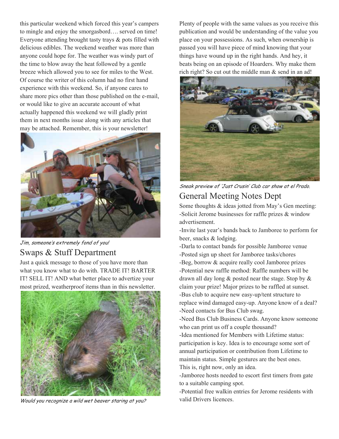this particular weekend which forced this year's campers to mingle and enjoy the smorgasbord…. served on time! Everyone attending brought tasty trays & pots filled with delicious edibles. The weekend weather was more than anyone could hope for. The weather was windy part of the time to blow away the heat followed by a gentle breeze which allowed you to see for miles to the West. Of course the writer of this column had no first hand experience with this weekend. So, if anyone cares to share more pics other than those published on the e-mail, or would like to give an accurate account of what actually happened this weekend we will gladly print them in next months issue along with any articles that may be attached. Remember, this is your newsletter!



Jim, someone's extremely fond of you!

#### Swaps & Stuff Department

Just a quick message to those of you have more than what you know what to do with. TRADE IT! BARTER IT! SELL IT! AND what better place to advertize your most prized, weatherproof items than in this newsletter.



Would you recognize a wild wet beaver staring at you?

Plenty of people with the same values as you receive this publication and would be understanding of the value you place on your possessions. As such, when ownership is passed you will have piece of mind knowing that your things have wound up in the right hands. And hey, it beats being on an episode of Hoarders. Why make them rich right? So cut out the middle man & send in an ad!



Sneak preview of 'Just Crusin' Club car show at el Prado. General Meeting Notes Dept

Some thoughts  $&$  ideas jotted from May's Gen meeting: -Solicit Jerome businesses for raffle prizes & window advertisement.

-Invite last year's bands back to Jamboree to perform for beer, snacks & lodging.

-Darla to contact bands for possible Jamboree venue -Posted sign up sheet for Jamboree tasks/chores -Beg, borrow & acquire really cool Jamboree prizes -Potential new raffle method: Raffle numbers will be drawn all day long & posted near the stage. Stop by & claim your prize! Major prizes to be raffled at sunset. -Bus club to acquire new easy-up/tent structure to replace wind damaged easy-up. Anyone know of a deal? -Need contacts for Bus Club swag.

-Need Bus Club Business Cards. Anyone know someone who can print us off a couple thousand?

-Idea mentioned for Members with Lifetime status: participation is key. Idea is to encourage some sort of annual participation or contribution from Lifetime to maintain status. Simple gestures are the best ones. This is, right now, only an idea.

-Jamboree hosts needed to escort first timers from gate to a suitable camping spot.

-Potential free walkin entries for Jerome residents with valid Drivers licences.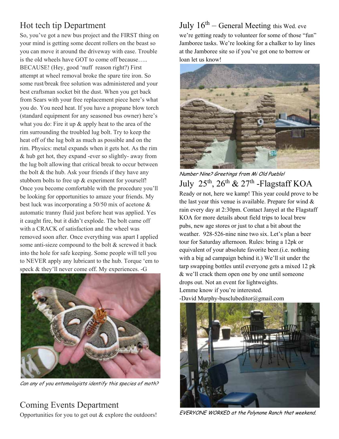## Hot tech tip Department

So, you've got a new bus project and the FIRST thing on your mind is getting some decent rollers on the beast so you can move it around the driveway with ease. Trouble is the old wheels have GOT to come off because….. BECAUSE! (Hey, good 'nuff reason right?) First attempt at wheel removal broke the spare tire iron. So some rust/break free solution was administered and your best craftsman socket bit the dust. When you get back from Sears with your free replacement piece here's what you do. You need heat. If you have a propane blow torch (standard equipment for any seasoned bus owner) here's what you do: Fire it up & apply heat to the area of the rim surrounding the troubled lug bolt. Try to keep the heat off of the lug bolt as much as possible and on the rim. Physics: metal expands when it gets hot. As the rim & hub get hot, they expand -ever so slightly- away from the lug bolt allowing that critical break to occur between the bolt & the hub. Ask your friends if they have any stubborn bolts to free up & experiment for yourself! Once you become comfortable with the procedure you'll be looking for opportunities to amaze your friends. My best luck was incorporating a 50/50 mix of acetone & automatic tranny fluid just before heat was applied. Yes it caught fire, but it didn't explode. The bolt came off with a CRACK of satisfaction and the wheel was removed soon after. Once everything was apart I applied some anti-sieze compound to the bolt & screwed it back into the hole for safe keeping. Some people will tell you to NEVER apply any lubricant to the hub. Torque 'em to speck & they'll never come off. My experiences. -G



Can any of you entomologists identify this species of moth?

#### Coming Events Department

Opportunities for you to get out & explore the outdoors!

July  $16<sup>th</sup>$  – General Meeting this Wed. eve we're getting ready to volunteer for some of those "fun" Jamboree tasks. We're looking for a chalker to lay lines at the Jamboree site so if you've got one to borrow or loan let us know!



Number Nine? Greetings from Mi Old Pueblo! July  $25<sup>th</sup>$ ,  $26<sup>th</sup>$  &  $27<sup>th</sup>$  -Flagstaff KOA

Ready or not, here we kamp! This year could prove to be the last year this venue is available. Prepare for wind  $\&$ rain every day at 2:30pm. Contact Janyel at the Flagstaff KOA for more details about field trips to local brew pubs, new age stores or just to chat a bit about the weather. 928-526-nine nine two six. Let's plan a beer tour for Saturday afternoon. Rules: bring a 12pk or equivalent of your absolute favorite beer.(i.e. nothing with a big ad campaign behind it.) We'll sit under the tarp swapping bottles until everyone gets a mixed 12 pk & we'll crack them open one by one until someone drops out. Not an event for lightweights. Lemme know if you're interested. -David Murphy-busclubeditor@gmail.com



EVERYONE WORKED at the Polynone Ranch that weekend.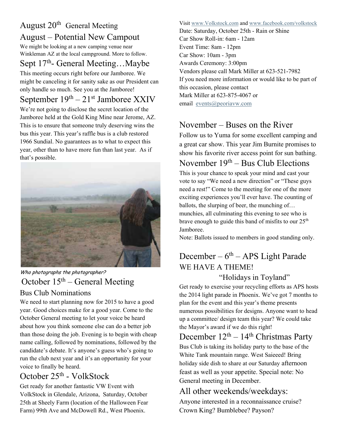## August  $20<sup>th</sup>$  General Meeting August – Potential New Campout

We might be looking at a new camping venue near Winkleman AZ at the local campground. More to follow.

## Sept 17<sup>th</sup>- General Meeting...Maybe

This meeting occurs right before our Jamboree. We might be canceling it for sanity sake as our President can only handle so much. See you at the Jamboree!

## September  $19<sup>th</sup> - 21<sup>st</sup>$  Jamboree XXIV

We're not going to disclose the secret location of the Jamboree held at the Gold King Mine near Jerome, AZ. This is to ensure that someone truly deserving wins the bus this year. This year's raffle bus is a club restored 1966 Sundial. No guarantees as to what to expect this year, other than to have more fun than last year. As if that's possible.



#### Who photographs the photographer? October  $15<sup>th</sup>$  – General Meeting Bus Club Nominations

We need to start planning now for 2015 to have a good year. Good choices make for a good year. Come to the October General meeting to let your voice be heard about how you think someone else can do a better job than those doing the job. Evening is to begin with cheap name calling, followed by nominations, followed by the candidate's debate. It's anyone's guess who's going to run the club next year and it's an opportunity for your voice to finally be heard.

## October 25th - VolkStock

Get ready for another fantastic VW Event with VolkStock in Glendale, Arizona, Saturday, October 25th at Sheely Farm (location of the Halloween Fear Farm) 99th Ave and McDowell Rd., West Phoenix.

#### Visit www.Volkstock.com and www.facebook.com/volkstock

Date: Saturday, October 25th - Rain or Shine Car Show Roll-in: 6am - 12am Event Time: 8am - 12pm Car Show: 10am - 3pm Awards Ceremony: 3:00pm Vendors please call Mark Miller at 623-521-7982 If you need more information or would like to be part of this occasion, please contact Mark Miller at 623-875-4067 or email events@peoriavw.com

## November – Buses on the River

Follow us to Yuma for some excellent camping and a great car show. This year Jim Burnite promises to show his favorite river access point for sun bathing. November  $19<sup>th</sup> - Bus Club Electronics$ 

## This is your chance to speak your mind and cast your vote to say "We need a new direction" or "These guys

need a rest!" Come to the meeting for one of the more exciting experiences you'll ever have. The counting of ballots, the slurping of beer, the munching of… munchies, all culminating this evening to see who is brave enough to guide this band of misfits to our  $25<sup>th</sup>$ Jamboree.

Note: Ballots issued to members in good standing only.

## December –  $6<sup>th</sup>$  – APS Light Parade WE HAVE A THEME!

### "Holidays in Toyland"

Get ready to exercise your recycling efforts as APS hosts the 2014 light parade in Phoenix. We've got 7 months to plan for the event and this year's theme presents numerous possibilities for designs. Anyone want to head up a committee/ design team this year? We could take the Mayor's award if we do this right!

# December  $12<sup>th</sup> - 14<sup>th</sup>$  Christmas Party

Bus Club is taking its holiday party to the base of the White Tank mountain range. West Saieeed! Bring holiday side dish to share at our Saturday afternoon feast as well as your appetite. Special note: No General meeting in December.

## All other weekends/weekdays:

Anyone interested in a reconnaissance cruise? Crown King? Bumblebee? Payson?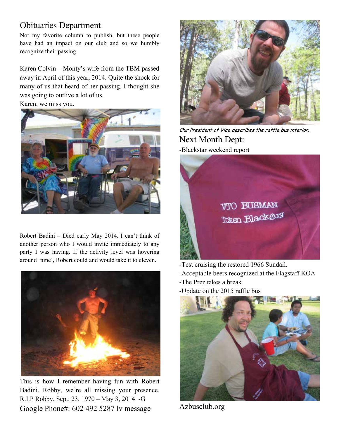### Obituaries Department

Not my favorite column to publish, but these people have had an impact on our club and so we humbly recognize their passing.

Karen Colvin – Monty's wife from the TBM passed away in April of this year, 2014. Quite the shock for many of us that heard of her passing. I thought she was going to outlive a lot of us.

Karen, we miss you.



Robert Badini – Died early May 2014. I can't think of another person who I would invite immediately to any party I was having. If the activity level was hovering around 'nine', Robert could and would take it to eleven.



This is how I remember having fun with Robert Badini. Robby, we're all missing your presence. R.I.P Robby. Sept. 23, 1970 – May 3, 2014 -G Google Phone#: 602 492 5287 lv message



Our President of Vice describes the raffle bus interior. Next Month Dept: -Blackstar weekend report



-Test cruising the restored 1966 Sundail.

-Acceptable beers recognized at the Flagstaff KOA

- -The Prez takes a break
- -Update on the 2015 raffle bus



Azbusclub.org